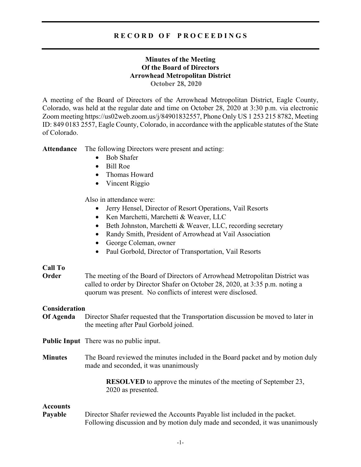# **Minutes of the Meeting Of the Board of Directors Arrowhead Metropolitan District October 28, 2020**

A meeting of the Board of Directors of the Arrowhead Metropolitan District, Eagle County, Colorado, was held at the regular date and time on October 28, 2020 at 3:30 p.m. via electronic Zoom meeting https://us02web.zoom.us/j/84901832557, Phone Only US 1 253 215 8782, Meeting ID: 849 0183 2557, Eagle County, Colorado, in accordance with the applicable statutes of the State of Colorado.

**Attendance** The following Directors were present and acting:

- Bob Shafer
- Bill Roe
- Thomas Howard
- Vincent Riggio

Also in attendance were:

- Jerry Hensel, Director of Resort Operations, Vail Resorts
- Ken Marchetti, Marchetti & Weaver, LLC
- Beth Johnston, Marchetti & Weaver, LLC, recording secretary
- Randy Smith, President of Arrowhead at Vail Association
- George Coleman, owner
- Paul Gorbold, Director of Transportation, Vail Resorts

# **Call To**

**Order** The meeting of the Board of Directors of Arrowhead Metropolitan District was called to order by Director Shafer on October 28, 2020, at 3:35 p.m. noting a quorum was present. No conflicts of interest were disclosed.

## **Consideration**

**Of Agenda** Director Shafer requested that the Transportation discussion be moved to later in the meeting after Paul Gorbold joined.

**Public Input** There was no public input.

**Minutes** The Board reviewed the minutes included in the Board packet and by motion duly made and seconded, it was unanimously

> **RESOLVED** to approve the minutes of the meeting of September 23, 2020 as presented.

## **Accounts**

**Payable** Director Shafer reviewed the Accounts Payable list included in the packet. Following discussion and by motion duly made and seconded, it was unanimously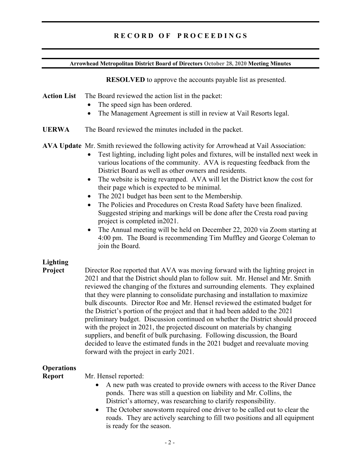### **Arrowhead Metropolitan District Board of Directors October 28, 2020 Meeting Minutes**

**RESOLVED** to approve the accounts payable list as presented.

# **Action List** The Board reviewed the action list in the packet:

- The speed sign has been ordered.
- The Management Agreement is still in review at Vail Resorts legal.
- **UERWA** The Board reviewed the minutes included in the packet.

**AVA Update** Mr. Smith reviewed the following activity for Arrowhead at Vail Association:

- Test lighting, including light poles and fixtures, will be installed next week in various locations of the community. AVA is requesting feedback from the District Board as well as other owners and residents.
- The website is being revamped. AVA will let the District know the cost for their page which is expected to be minimal.
- The 2021 budget has been sent to the Membership.
- The Policies and Procedures on Cresta Road Safety have been finalized. Suggested striping and markings will be done after the Cresta road paving project is completed in2021.
- The Annual meeting will be held on December 22, 2020 via Zoom starting at 4:00 pm. The Board is recommending Tim Muffley and George Coleman to join the Board.

# **Lighting**

**Project** Director Roe reported that AVA was moving forward with the lighting project in 2021 and that the District should plan to follow suit. Mr. Hensel and Mr. Smith reviewed the changing of the fixtures and surrounding elements. They explained that they were planning to consolidate purchasing and installation to maximize bulk discounts. Director Roe and Mr. Hensel reviewed the estimated budget for the District's portion of the project and that it had been added to the 2021 preliminary budget. Discussion continued on whether the District should proceed with the project in 2021, the projected discount on materials by changing suppliers, and benefit of bulk purchasing. Following discussion, the Board decided to leave the estimated funds in the 2021 budget and reevaluate moving forward with the project in early 2021.

# **Operations**

**Report** Mr. Hensel reported:

- A new path was created to provide owners with access to the River Dance ponds. There was still a question on liability and Mr. Collins, the District's attorney, was researching to clarify responsibility.
- The October snowstorm required one driver to be called out to clear the roads. They are actively searching to fill two positions and all equipment is ready for the season.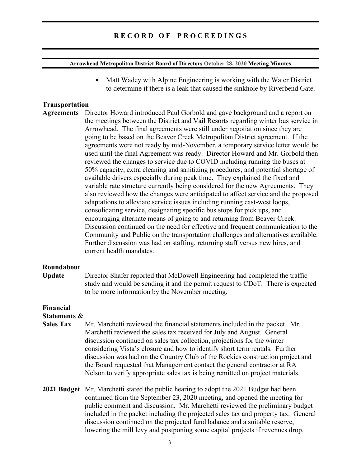#### **Arrowhead Metropolitan District Board of Directors October 28, 2020 Meeting Minutes**

• Matt Wadey with Alpine Engineering is working with the Water District to determine if there is a leak that caused the sinkhole by Riverbend Gate.

## **Transportation**

**Agreements** Director Howard introduced Paul Gorbold and gave background and a report on the meetings between the District and Vail Resorts regarding winter bus service in Arrowhead. The final agreements were still under negotiation since they are going to be based on the Beaver Creek Metropolitan District agreement. If the agreements were not ready by mid-November, a temporary service letter would be used until the final Agreement was ready. Director Howard and Mr. Gorbold then reviewed the changes to service due to COVID including running the buses at 50% capacity, extra cleaning and sanitizing procedures, and potential shortage of available drivers especially during peak time. They explained the fixed and variable rate structure currently being considered for the new Agreements. They also reviewed how the changes were anticipated to affect service and the proposed adaptations to alleviate service issues including running east-west loops, consolidating service, designating specific bus stops for pick ups, and encouraging alternate means of going to and returning from Beaver Creek. Discussion continued on the need for effective and frequent communication to the Community and Public on the transportation challenges and alternatives available. Further discussion was had on staffing, returning staff versus new hires, and current health mandates.

#### **Roundabout**

**Update** Director Shafer reported that McDowell Engineering had completed the traffic study and would be sending it and the permit request to CDoT. There is expected to be more information by the November meeting.

#### **Financial Statements &**

- **Sales Tax** Mr. Marchetti reviewed the financial statements included in the packet. Mr. Marchetti reviewed the sales tax received for July and August. General discussion continued on sales tax collection, projections for the winter considering Vista's closure and how to identify short term rentals. Further discussion was had on the Country Club of the Rockies construction project and the Board requested that Management contact the general contractor at RA Nelson to verify appropriate sales tax is being remitted on project materials.
- **2021 Budget** Mr. Marchetti stated the public hearing to adopt the 2021 Budget had been continued from the September 23, 2020 meeting, and opened the meeting for public comment and discussion. Mr. Marchetti reviewed the preliminary budget included in the packet including the projected sales tax and property tax. General discussion continued on the projected fund balance and a suitable reserve, lowering the mill levy and postponing some capital projects if revenues drop.